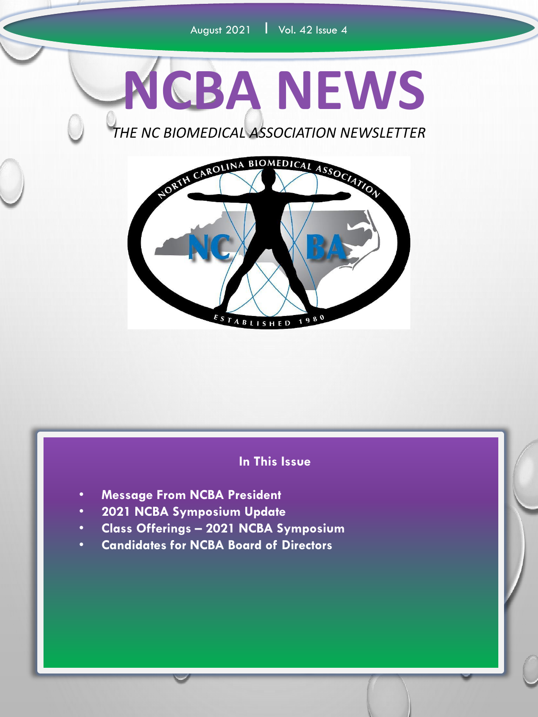

*THE NC BIOMEDICAL ASSOCIATION NEWSLETTER*



#### **In This Issue**

- **Message From NCBA President**
- **2021 NCBA Symposium Update**
- **Class Offerings – 2021 NCBA Symposium**
- **Candidates for NCBA Board of Directors**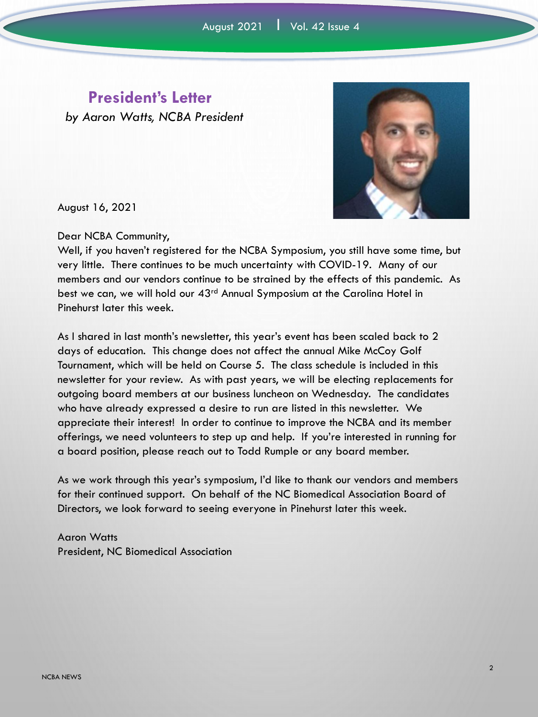### **President's Letter**

*by Aaron Watts, NCBA President*



August 16, 2021

Dear NCBA Community,

Well, if you haven't registered for the NCBA Symposium, you still have some time, but very little. There continues to be much uncertainty with COVID-19. Many of our members and our vendors continue to be strained by the effects of this pandemic. As best we can, we will hold our 43<sup>rd</sup> Annual Symposium at the Carolina Hotel in Pinehurst later this week.

As I shared in last month's newsletter, this year's event has been scaled back to 2 days of education. This change does not affect the annual Mike McCoy Golf Tournament, which will be held on Course 5. The class schedule is included in this newsletter for your review. As with past years, we will be electing replacements for outgoing board members at our business luncheon on Wednesday. The candidates who have already expressed a desire to run are listed in this newsletter. We appreciate their interest! In order to continue to improve the NCBA and its member offerings, we need volunteers to step up and help. If you're interested in running for a board position, please reach out to Todd Rumple or any board member.

As we work through this year's symposium, I'd like to thank our vendors and members for their continued support. On behalf of the NC Biomedical Association Board of Directors, we look forward to seeing everyone in Pinehurst later this week.

Aaron Watts President, NC Biomedical Association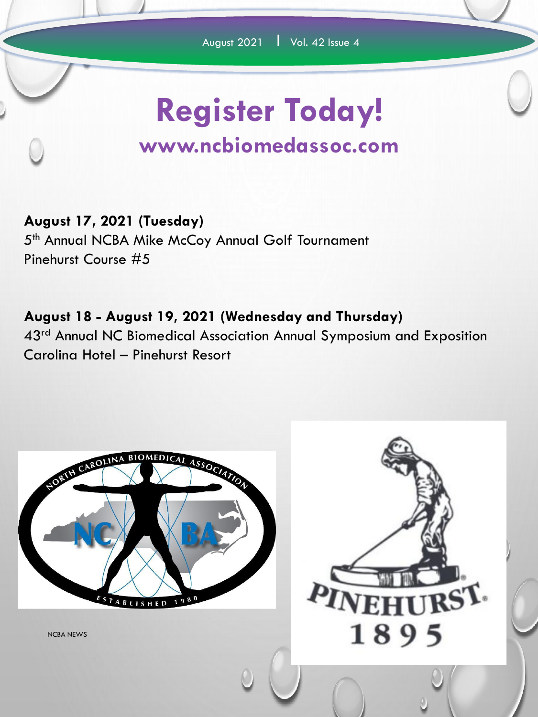# **Register Today!**

### **www.ncbiomedassoc.com**

### **August 17, 2021 (Tuesday)**

5<sup>th</sup> Annual NCBA Mike McCoy Annual Golf Tournament Pinehurst Course #5

**August 18 - August 19, 2021 (Wednesday and Thursday)** 43<sup>rd</sup> Annual NC Biomedical Association Annual Symposium and Exposition Carolina Hotel – Pinehurst Resort

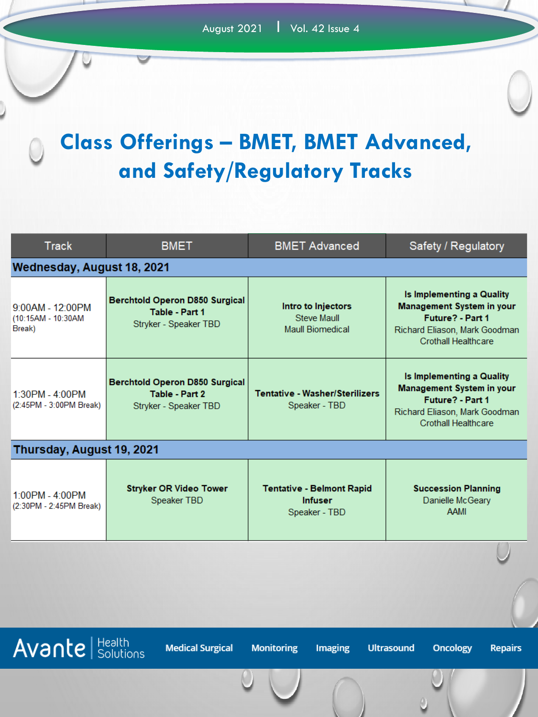# **Class Offerings – BMET, BMET Advanced, and Safety/Regulatory Tracks**

| <b>Track</b>                                                                                                                                        | <b>BMET</b>                                                                      | <b>BMET Advanced</b>                                                | Safety / Regulatory                                                                                                                              |  |
|-----------------------------------------------------------------------------------------------------------------------------------------------------|----------------------------------------------------------------------------------|---------------------------------------------------------------------|--------------------------------------------------------------------------------------------------------------------------------------------------|--|
| Wednesday, August 18, 2021                                                                                                                          |                                                                                  |                                                                     |                                                                                                                                                  |  |
| $9:00AM - 12:00PM$<br>(10:15AM - 10:30AM<br>Break)                                                                                                  | <b>Berchtold Operon D850 Surgical</b><br>Table - Part 1<br>Stryker - Speaker TBD | Intro to Injectors<br><b>Steve Maull</b><br><b>Maull Biomedical</b> | Is Implementing a Quality<br>Management System in your<br>Future? - Part 1<br>Richard Eliason, Mark Goodman<br><b>Crothall Healthcare</b>        |  |
| 1:30PM - 4:00PM<br>(2:45PM - 3:00PM Break)                                                                                                          | <b>Berchtold Operon D850 Surgical</b><br>Table - Part 2<br>Stryker - Speaker TBD | <b>Tentative - Washer/Sterilizers</b><br>Speaker - TBD              | Is Implementing a Quality<br><b>Management System in your</b><br>Future? - Part 1<br>Richard Eliason, Mark Goodman<br><b>Crothall Healthcare</b> |  |
| Thursday, August 19, 2021                                                                                                                           |                                                                                  |                                                                     |                                                                                                                                                  |  |
| 1:00PM - 4:00PM<br>(2:30PM - 2:45PM Break)                                                                                                          | <b>Stryker OR Video Tower</b><br>Speaker TBD                                     | <b>Tentative - Belmont Rapid</b><br><b>Infuser</b><br>Speaker - TBD | <b>Succession Planning</b><br>Danielle McGeary<br><b>AAMI</b>                                                                                    |  |
|                                                                                                                                                     |                                                                                  |                                                                     |                                                                                                                                                  |  |
|                                                                                                                                                     |                                                                                  |                                                                     |                                                                                                                                                  |  |
| <b>Avante</b> Solutions<br><b>Medical Surgical</b><br><b>Monitoring</b><br><b>Ultrasound</b><br><b>Oncology</b><br><b>Imaging</b><br><b>Repairs</b> |                                                                                  |                                                                     |                                                                                                                                                  |  |
|                                                                                                                                                     |                                                                                  |                                                                     |                                                                                                                                                  |  |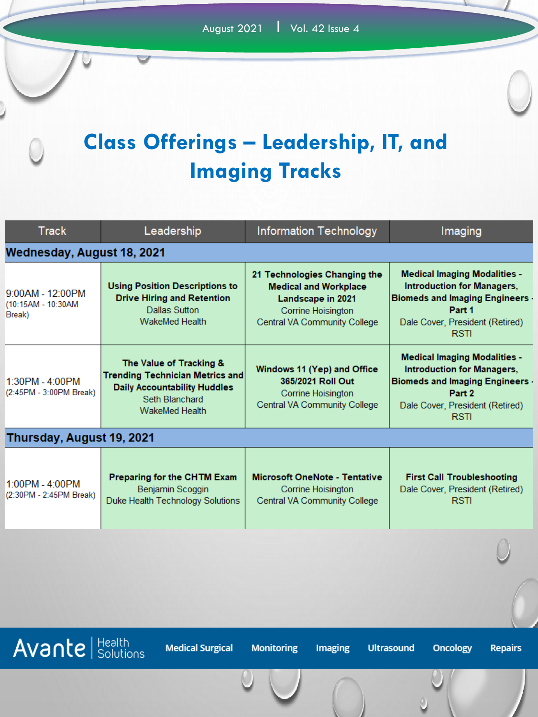## **Class Offerings – Leadership, IT, and Imaging Tracks**

| <b>Track</b>                                       | Leadership                                                                                                                                          | <b>Information Technology</b>                                                                                                           | Imaging                                                                                                                                                                 |  |
|----------------------------------------------------|-----------------------------------------------------------------------------------------------------------------------------------------------------|-----------------------------------------------------------------------------------------------------------------------------------------|-------------------------------------------------------------------------------------------------------------------------------------------------------------------------|--|
| Wednesday, August 18, 2021                         |                                                                                                                                                     |                                                                                                                                         |                                                                                                                                                                         |  |
| $9:00AM - 12:00PM$<br>(10:15AM - 10:30AM<br>Break) | <b>Using Position Descriptions to</b><br><b>Drive Hiring and Retention</b><br>Dallas Sutton<br><b>WakeMed Health</b>                                | 21 Technologies Changing the<br><b>Medical and Workplace</b><br>Landscape in 2021<br>Corrine Hoisington<br>Central VA Community College | <b>Medical Imaging Modalities -</b><br><b>Introduction for Managers,</b><br>Biomeds and Imaging Engineers -<br>Part 1<br>Dale Cover, President (Retired)<br><b>RSTI</b> |  |
| 1:30PM - 4:00PM<br>(2:45PM - 3:00PM Break)         | The Value of Tracking &<br><b>Trending Technician Metrics and</b><br><b>Daily Accountability Huddles</b><br>Seth Blanchard<br><b>WakeMed Health</b> | Windows 11 (Yep) and Office<br>365/2021 Roll Out<br>Corrine Hoisington<br>Central VA Community College                                  | <b>Medical Imaging Modalities -</b><br><b>Introduction for Managers,</b><br>Biomeds and Imaging Engineers -<br>Part 2<br>Dale Cover, President (Retired)<br><b>RSTI</b> |  |
| Thursday, August 19, 2021                          |                                                                                                                                                     |                                                                                                                                         |                                                                                                                                                                         |  |
| 1:00PM - 4:00PM<br>(2:30PM - 2:45PM Break)         | Preparing for the CHTM Exam<br>Benjamin Scoggin<br>Duke Health Technology Solutions                                                                 | <b>Microsoft OneNote - Tentative</b><br>Corrine Hoisington<br>Central VA Community College                                              | <b>First Call Troubleshooting</b><br>Dale Cover, President (Retired)<br><b>RSTI</b>                                                                                     |  |
|                                                    |                                                                                                                                                     |                                                                                                                                         |                                                                                                                                                                         |  |

 $\overline{Avan}$  Health

**Medical Surgical** 

**Monitoring** 

Imaging

**Ultrasound** 

**Oncology** 

**Repairs**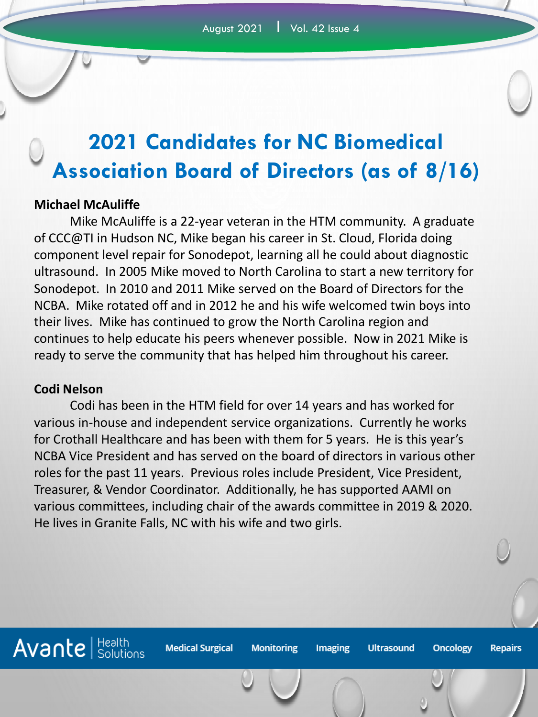### **2021 Candidates for NC Biomedical Association Board of Directors (as of 8/16)**

#### **Michael McAuliffe**

Mike McAuliffe is a 22-year veteran in the HTM community. A graduate of CCC@TI in Hudson NC, Mike began his career in St. Cloud, Florida doing component level repair for Sonodepot, learning all he could about diagnostic ultrasound. In 2005 Mike moved to North Carolina to start a new territory for Sonodepot. In 2010 and 2011 Mike served on the Board of Directors for the NCBA. Mike rotated off and in 2012 he and his wife welcomed twin boys into their lives. Mike has continued to grow the North Carolina region and continues to help educate his peers whenever possible. Now in 2021 Mike is ready to serve the community that has helped him throughout his career.

#### **Codi Nelson**

Codi has been in the HTM field for over 14 years and has worked for various in-house and independent service organizations. Currently he works for Crothall Healthcare and has been with them for 5 years. He is this year's NCBA Vice President and has served on the board of directors in various other roles for the past 11 years. Previous roles include President, Vice President, Treasurer, & Vendor Coordinator. Additionally, he has supported AAMI on various committees, including chair of the awards committee in 2019 & 2020. He lives in Granite Falls, NC with his wife and two girls.

**Monitoring** 

Imaging

**Ultrasound** 

**Oncology** 

**Repairs** 

**Medical Surgical**